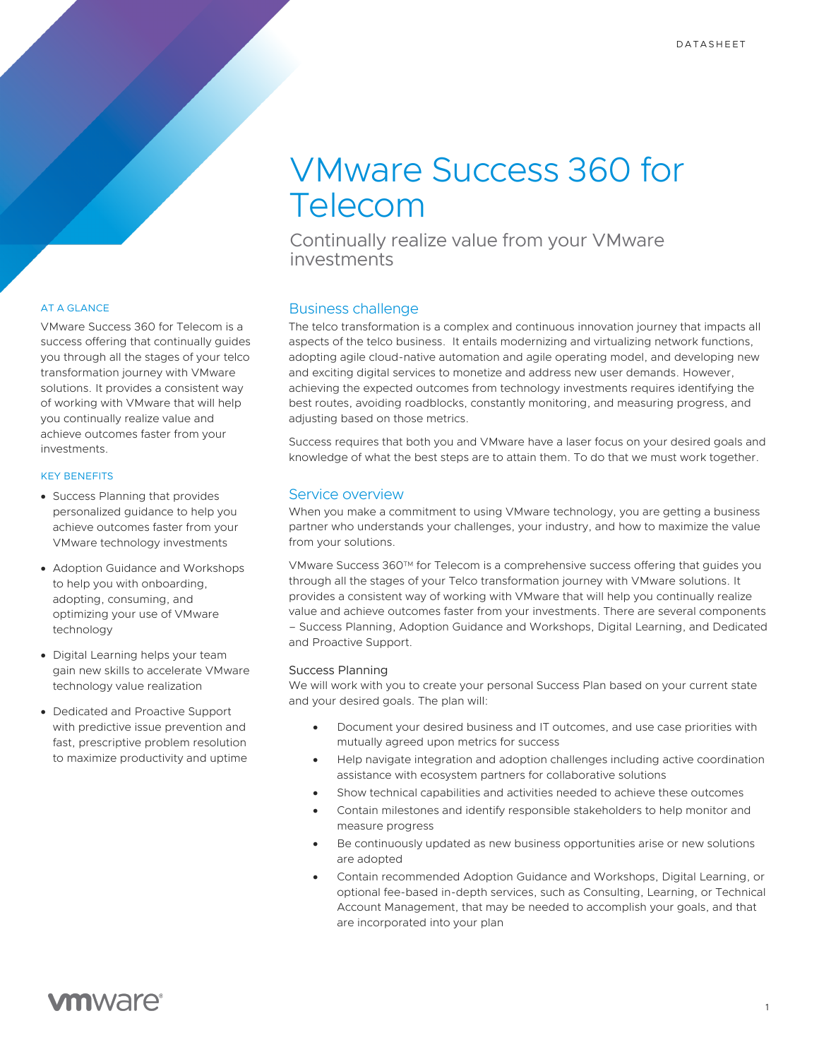# VMware Success 360 for Telecom

Continually realize value from your VMware investments

## AT A GLANCE

VMware Success 360 for Telecom is a success offering that continually guides you through all the stages of your telco transformation journey with VMware solutions. It provides a consistent way of working with VMware that will help you continually realize value and achieve outcomes faster from your investments.

### KEY BENEFITS

- Success Planning that provides personalized guidance to help you achieve outcomes faster from your VMware technology investments
- Adoption Guidance and Workshops to help you with onboarding, adopting, consuming, and optimizing your use of VMware technology
- Digital Learning helps your team gain new skills to accelerate VMware technology value realization
- Dedicated and Proactive Support with predictive issue prevention and fast, prescriptive problem resolution to maximize productivity and uptime

# Business challenge

The telco transformation is a complex and continuous innovation journey that impacts all aspects of the telco business. It entails modernizing and virtualizing network functions, adopting agile cloud-native automation and agile operating model, and developing new and exciting digital services to monetize and address new user demands. However, achieving the expected outcomes from technology investments requires identifying the best routes, avoiding roadblocks, constantly monitoring, and measuring progress, and adjusting based on those metrics.

Success requires that both you and VMware have a laser focus on your desired goals and knowledge of what the best steps are to attain them. To do that we must work together.

## Service overview

When you make a commitment to using VMware technology, you are getting a business partner who understands your challenges, your industry, and how to maximize the value from your solutions.

VMware Success 360TM for Telecom is a comprehensive success offering that guides you through all the stages of your Telco transformation journey with VMware solutions. It provides a consistent way of working with VMware that will help you continually realize value and achieve outcomes faster from your investments. There are several components – Success Planning, Adoption Guidance and Workshops, Digital Learning, and Dedicated and Proactive Support.

### Success Planning

We will work with you to create your personal Success Plan based on your current state and your desired goals. The plan will:

- Document your desired business and IT outcomes, and use case priorities with mutually agreed upon metrics for success
- Help navigate integration and adoption challenges including active coordination assistance with ecosystem partners for collaborative solutions
- Show technical capabilities and activities needed to achieve these outcomes
- Contain milestones and identify responsible stakeholders to help monitor and measure progress
- Be continuously updated as new business opportunities arise or new solutions are adopted
- Contain recommended Adoption Guidance and Workshops, Digital Learning, or optional fee-based in-depth services, such as Consulting, Learning, or Technical Account Management, that may be needed to accomplish your goals, and that are incorporated into your plan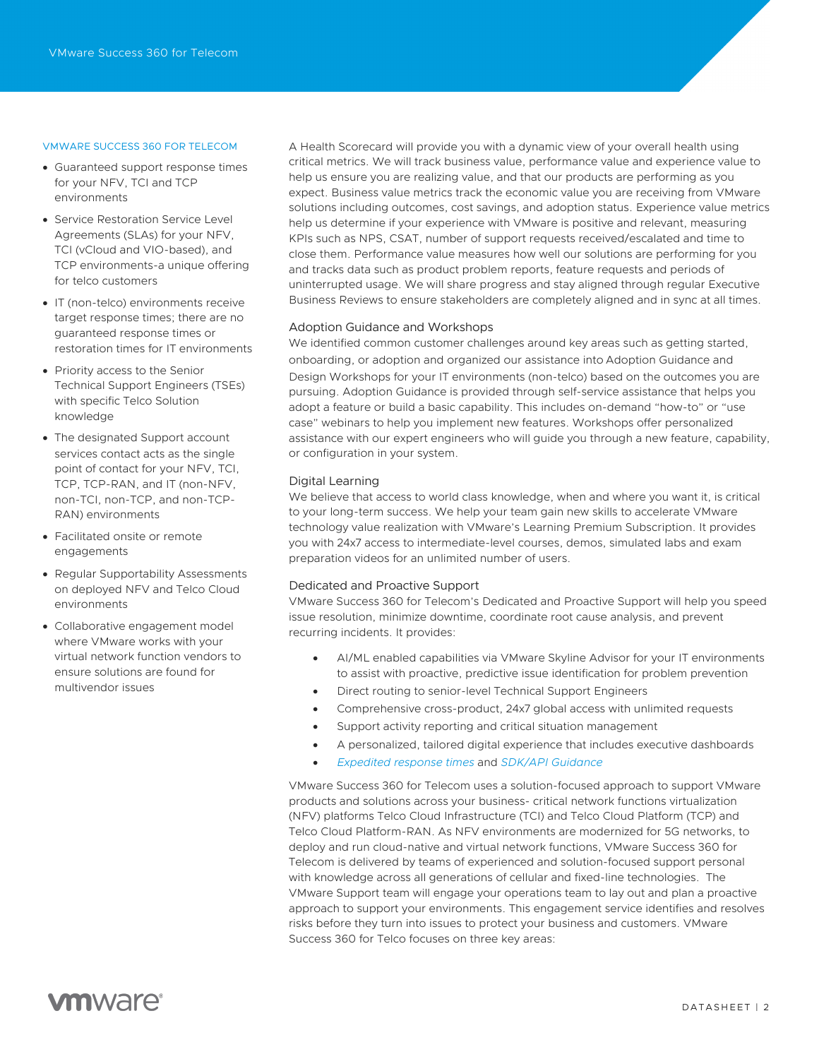#### VMWARE SUCCESS 360 FOR TELECOM

- Guaranteed support response times for your NFV, TCI and TCP environments
- Service Restoration Service Level Agreements (SLAs) for your NFV, TCI (vCloud and VIO-based), and TCP environments-a unique offering for telco customers
- IT (non-telco) environments receive target response times; there are no guaranteed response times or restoration times for IT environments
- Priority access to the Senior Technical Support Engineers (TSEs) with specific Telco Solution knowledge
- The designated Support account services contact acts as the single point of contact for your NFV, TCI, TCP, TCP-RAN, and IT (non-NFV, non-TCI, non-TCP, and non-TCP-RAN) environments
- Facilitated onsite or remote engagements
- Regular Supportability Assessments on deployed NFV and Telco Cloud environments
- Collaborative engagement model where VMware works with your virtual network function vendors to ensure solutions are found for multivendor issues

A Health Scorecard will provide you with a dynamic view of your overall health using critical metrics. We will track business value, performance value and experience value to help us ensure you are realizing value, and that our products are performing as you expect. Business value metrics track the economic value you are receiving from VMware solutions including outcomes, cost savings, and adoption status. Experience value metrics help us determine if your experience with VMware is positive and relevant, measuring KPIs such as NPS, CSAT, number of support requests received/escalated and time to close them. Performance value measures how well our solutions are performing for you and tracks data such as product problem reports, feature requests and periods of uninterrupted usage. We will share progress and stay aligned through regular Executive Business Reviews to ensure stakeholders are completely aligned and in sync at all times.

### Adoption Guidance and Workshops

We identified common customer challenges around key areas such as getting started, onboarding, or adoption and organized our assistance into Adoption Guidance and Design Workshops for your IT environments (non-telco) based on the outcomes you are pursuing. Adoption Guidance is provided through self-service assistance that helps you adopt a feature or build a basic capability. This includes on-demand "how-to" or "use case" webinars to help you implement new features. Workshops offer personalized assistance with our expert engineers who will guide you through a new feature, capability, or configuration in your system.

### Digital Learning

We believe that access to world class knowledge, when and where you want it, is critical to your long-term success. We help your team gain new skills to accelerate VMware technology value realization with VMware's Learning Premium Subscription. It provides you with 24x7 access to intermediate-level courses, demos, simulated labs and exam preparation videos for an unlimited number of users.

### Dedicated and Proactive Support

VMware Success 360 for Telecom's Dedicated and Proactive Support will help you speed issue resolution, minimize downtime, coordinate root cause analysis, and prevent recurring incidents. It provides:

- AI/ML enabled capabilities via VMware Skyline Advisor for your IT environments to assist with proactive, predictive issue identification for problem prevention
- Direct routing to senior-level Technical Support Engineers
- Comprehensive cross-product, 24x7 global access with unlimited requests
- Support activity reporting and critical situation management
- A personalized, tailored digital experience that includes executive dashboards
- *Expedited response times* and *SDK/API Guidance*

VMware Success 360 for Telecom uses a solution-focused approach to support VMware products and solutions across your business- critical network functions virtualization (NFV) platforms Telco Cloud Infrastructure (TCI) and Telco Cloud Platform (TCP) and Telco Cloud Platform-RAN. As NFV environments are modernized for 5G networks, to deploy and run cloud-native and virtual network functions, VMware Success 360 for Telecom is delivered by teams of experienced and solution-focused support personal with knowledge across all generations of cellular and fixed-line technologies. The VMware Support team will engage your operations team to lay out and plan a proactive approach to support your environments. This engagement service identifies and resolves risks before they turn into issues to protect your business and customers. VMware Success 360 for Telco focuses on three key areas:

# **vm**ware<sup>®</sup>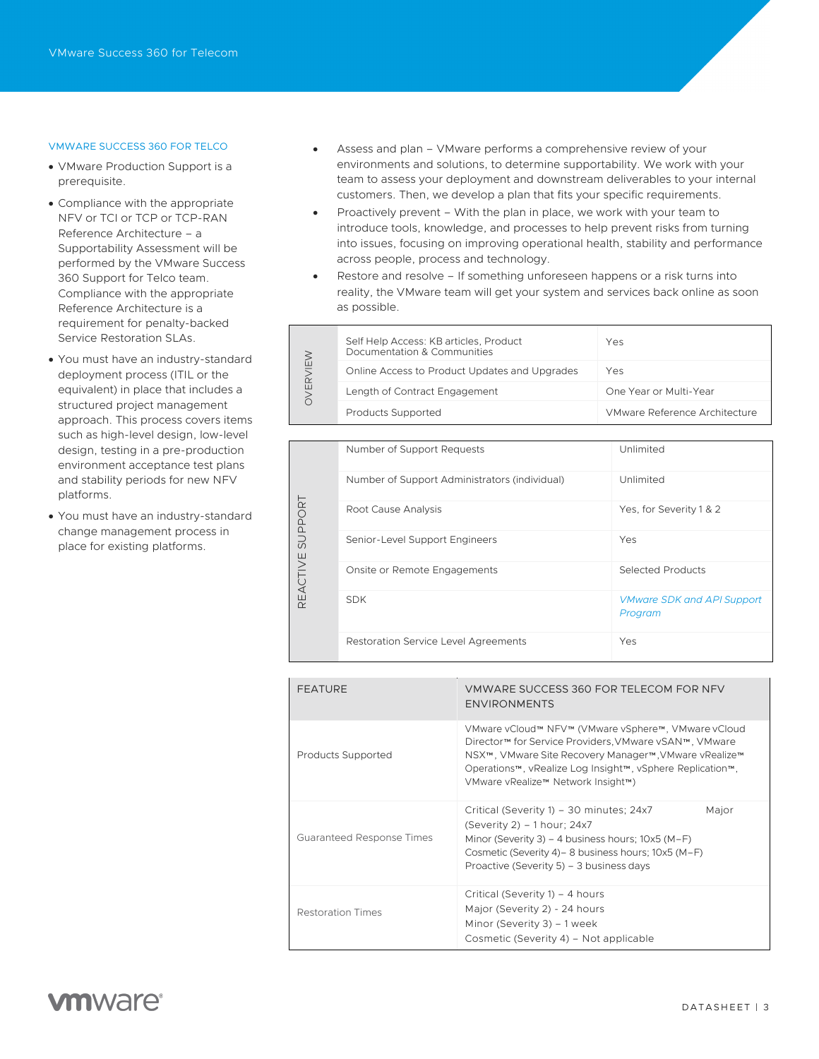### VMWARE SUCCESS 360 FOR TELCO

- VMware Production Support is a prerequisite.
- Compliance with the appropriate NFV or TCI or TCP or TCP-RAN Reference Architecture – a Supportability Assessment will be performed by the VMware Success 360 Support for Telco team. Compliance with the appropriate Reference Architecture is a requirement for penalty-backed Service Restoration SLAs.
- You must have an industry-standard deployment process (ITIL or the equivalent) in place that includes a structured project management approach. This process covers items such as high-level design, low-level design, testing in a pre-production environment acceptance test plans and stability periods for new NFV platforms.
- You must have an industry-standard change management process in place for existing platforms.

٦

- Assess and plan VMware performs a comprehensive review of your environments and solutions, to determine supportability. We work with your team to assess your deployment and downstream deliverables to your internal customers. Then, we develop a plan that fits your specific requirements.
- Proactively prevent With the plan in place, we work with your team to introduce tools, knowledge, and processes to help prevent risks from turning into issues, focusing on improving operational health, stability and performance across people, process and technology.
- Restore and resolve If something unforeseen happens or a risk turns into reality, the VMware team will get your system and services back online as soon as possible.

|  | Self Help Access: KB articles, Product<br>Documentation & Communities | Yes                           |
|--|-----------------------------------------------------------------------|-------------------------------|
|  | Online Access to Product Updates and Upgrades                         | Yes                           |
|  | Length of Contract Engagement                                         | One Year or Multi-Year        |
|  | <b>Products Supported</b>                                             | VMware Reference Architecture |

| SUPPORT<br>REACTIVE | Number of Support Requests                    | Unlimited                                    |
|---------------------|-----------------------------------------------|----------------------------------------------|
|                     | Number of Support Administrators (individual) | Unlimited                                    |
|                     | Root Cause Analysis                           | Yes, for Severity 1 & 2                      |
|                     | Senior-Level Support Engineers                | Yes                                          |
|                     | Onsite or Remote Engagements                  | Selected Products                            |
|                     | <b>SDK</b>                                    | <b>VMware SDK and API Support</b><br>Program |
|                     | <b>Restoration Service Level Agreements</b>   | Yes                                          |

| <b>FEATURE</b>            | VMWARE SUCCESS 360 FOR TELECOM FOR NFV<br><b>ENVIRONMENTS</b>                                                                                                                                                                                                            |
|---------------------------|--------------------------------------------------------------------------------------------------------------------------------------------------------------------------------------------------------------------------------------------------------------------------|
| Products Supported        | VMware vCloud™ NFV™ (VMware vSphere™, VMware vCloud<br>Director™ for Service Providers, VMware vSAN™, VMware<br>NSX™, VMware Site Recovery Manager™, VMware vRealize™<br>Operations™, vRealize Log Insight™, vSphere Replication™,<br>VMware vRealize™ Network Insight™) |
| Guaranteed Response Times | Critical (Severity 1) - 30 minutes; 24x7<br>Major<br>(Severity 2) – 1 hour; 24x7<br>Minor (Severity 3) – 4 business hours; $10x5$ (M-F)<br>Cosmetic (Severity 4) - 8 business hours; 10x5 (M-F)<br>Proactive (Severity 5) – 3 business days                              |
| Restoration Times         | Critical (Severity 1) – 4 hours<br>Major (Severity 2) - 24 hours<br>Minor (Severity 3) – 1 week<br>Cosmetic (Severity 4) – Not applicable                                                                                                                                |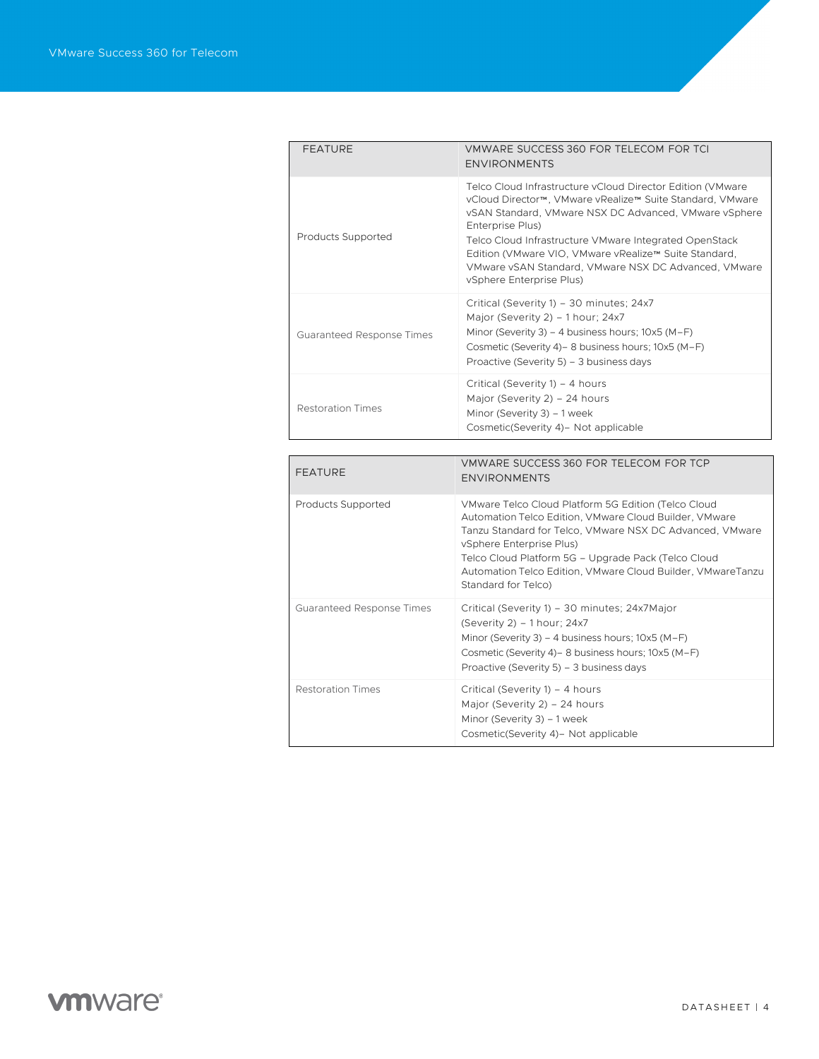| <b>FEATURE</b>                   | VMWARE SUCCESS 360 FOR TELECOM FOR TCI<br><b>ENVIRONMENTS</b>                                                                                                                                                                                                                                                                                                                                               |
|----------------------------------|-------------------------------------------------------------------------------------------------------------------------------------------------------------------------------------------------------------------------------------------------------------------------------------------------------------------------------------------------------------------------------------------------------------|
| Products Supported               | Telco Cloud Infrastructure vCloud Director Edition (VMware<br>vCloud Director™, VMware vRealize™ Suite Standard, VMware<br>vSAN Standard, VMware NSX DC Advanced, VMware vSphere<br>Enterprise Plus)<br>Telco Cloud Infrastructure VMware Integrated OpenStack<br>Edition (VMware VIO, VMware vRealize™ Suite Standard,<br>VMware vSAN Standard, VMware NSX DC Advanced, VMware<br>vSphere Enterprise Plus) |
| Guaranteed Response Times        | Critical (Severity 1) - 30 minutes; 24x7<br>Major (Severity 2) - 1 hour; 24x7<br>Minor (Severity 3) – 4 business hours; $10x5 (M-F)$<br>Cosmetic (Severity 4) - 8 business hours; 10x5 (M-F)<br>Proactive (Severity 5) - 3 business days                                                                                                                                                                    |
| <b>Restoration Times</b>         | Critical (Severity 1) - 4 hours<br>Major (Severity 2) - 24 hours<br>Minor (Severity 3) - 1 week<br>Cosmetic(Severity 4)- Not applicable                                                                                                                                                                                                                                                                     |
|                                  |                                                                                                                                                                                                                                                                                                                                                                                                             |
|                                  |                                                                                                                                                                                                                                                                                                                                                                                                             |
| <b>FEATURE</b>                   | VMWARE SUCCESS 360 FOR TELECOM FOR TCP<br><b>ENVIRONMENTS</b>                                                                                                                                                                                                                                                                                                                                               |
| Products Supported               | VMware Telco Cloud Platform 5G Edition (Telco Cloud<br>Automation Telco Edition, VMware Cloud Builder, VMware<br>Tanzu Standard for Telco, VMware NSX DC Advanced, VMware<br>vSphere Enterprise Plus)<br>Telco Cloud Platform 5G - Upgrade Pack (Telco Cloud<br>Automation Telco Edition, VMware Cloud Builder, VMwareTanzu<br>Standard for Telco)                                                          |
| <b>Guaranteed Response Times</b> | Critical (Severity 1) - 30 minutes; 24x7Major<br>(Severity 2) $-$ 1 hour; 24x7<br>Minor (Severity 3) – 4 business hours; $10x5 (M-F)$<br>Cosmetic (Severity 4) - 8 business hours; 10x5 (M-F)<br>Proactive (Severity 5) - 3 business days                                                                                                                                                                   |

# **vmware**<sup>®</sup>